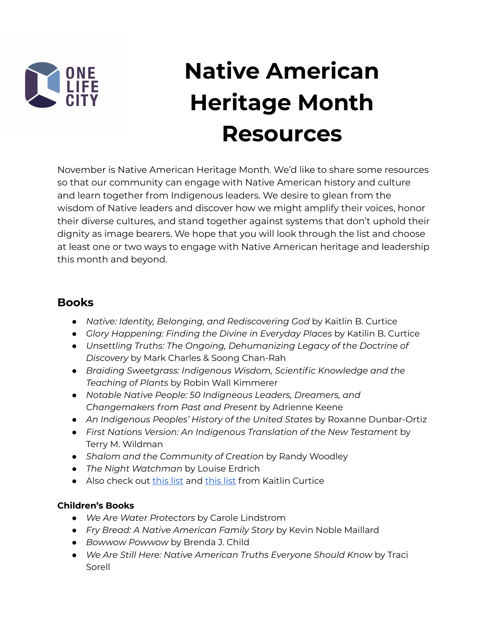

# **Native American Heritage Month Resources**

November is Native American Heritage Month. We'd like to share some resources so that our community can engage with Native American history and culture and learn together from Indigenous leaders. We desire to glean from the wisdom of Native leaders and discover how we might amplify their voices, honor their diverse cultures, and stand together against systems that don't uphold their dignity as image bearers. We hope that you will look through the list and choose at least one or two ways to engage with Native American heritage and leadership this month and beyond.

# **Books**

- *Native: Identity, Belonging, and Rediscovering God* by Kaitlin B. Curtice
- *● Glory Happening: Finding the Divine in Everyday Places* by Katilin B. Curtice
- *● Unsettling Truths: The Ongoing, Dehumanizing Legacy of the Doctrine of Discovery* by Mark Charles & Soong Chan-Rah
- *Braiding Sweetgrass: Indigenous Wisdom, Scientific Knowledge and the Teaching of Plants* by Robin Wall Kimmerer
- *● Notable Native People: 50 Indigneous Leaders, Dreamers, and Changemakers from Past and Present* by Adrienne Keene
- *● An Indigenous Peoples' History of the United States* by Roxanne Dunbar-Ortiz
- *● First Nations Version: An Indigenous Translation of the New Testament* by Terry M. Wildman
- *● Shalom and the Community of Creation* by Randy Woodley
- *The Night Watchman* by Louise Erdrich
- Also check out [this](https://kaitlincurtice.com/2018/09/06/25-books-by-indigenous-authors-you-should-be-reading/) list and this list from Kaitlin Curtice

#### **Children's Books**

- *● We Are Water Protectors* by Carole Lindstrom
- *● Fry Bread: A Native American Family Story* by Kevin Noble Maillard
- *● Bowwow Powwow* by Brenda J. Child
- *● We Are Still Here: Native American Truths Everyone Should Know* by Traci Sorell